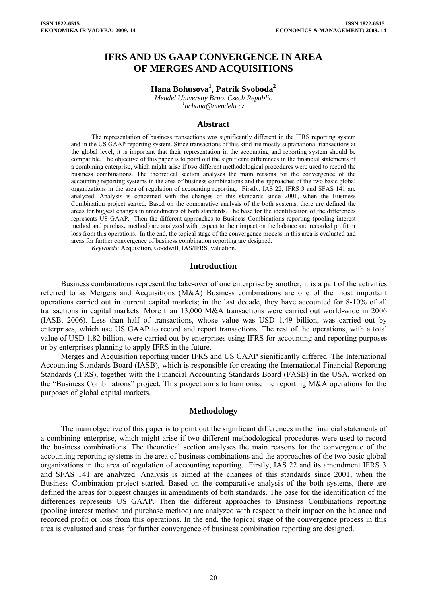# **IFRS AND US GAAP CONVERGENCE IN AREA OF MERGES AND ACQUISITIONS**

# **Hana Bohusova<sup>1</sup> , Patrik Svoboda<sup>2</sup>**

*Mendel University Brno, Czech Republic 1 [uchana@mendelu.cz](mailto:uchana@mendelu.cz)*

#### **Abstract**

The representation of business transactions was significantly different in the IFRS reporting system and in the US GAAP reporting system. Since transactions of this kind are mostly supranational transactions at the global level, it is important that their representation in the accounting and reporting system should be compatible. The objective of this paper is to point out the significant differences in the financial statements of a combining enterprise, which might arise if two different methodological procedures were used to record the business combinations. The theoretical section analyses the main reasons for the convergence of the accounting reporting systems in the area of business combinations and the approaches of the two basic global organizations in the area of regulation of accounting reporting. Firstly, IAS 22, IFRS 3 and SFAS 141 are analyzed. Analysis is concerned with the changes of this standards since 2001, when the Business Combination project started. Based on the comparative analysis of the both systems, there are defined the areas for biggest changes in amendments of both standards. The base for the identification of the differences represents US GAAP. Then the different approaches to Business Combinations reporting (pooling interest method and purchase method) are analyzed with respect to their impact on the balance and recorded profit or loss from this operations. In the end, the topical stage of the convergence process in this area is evaluated and areas for further convergence of business combination reporting are designed.

*Keywords*: Acquisition, Goodwill, IAS/IFRS, valuation.

#### **Introduction**

Business combinations represent the take-over of one enterprise by another; it is a part of the activities referred to as Mergers and Acquisitions (M&A) Business combinations are one of the most important operations carried out in current capital markets; in the last decade, they have accounted for 8-10% of all transactions in capital markets. More than 13,000 M&A transactions were carried out world-wide in 2006 (IASB, 2006). Less than half of transactions, whose value was USD 1.49 billion, was carried out by enterprises, which use US GAAP to record and report transactions. The rest of the operations, with a total value of USD 1.82 billion, were carried out by enterprises using IFRS for accounting and reporting purposes or by enterprises planning to apply IFRS in the future.

Merges and Acquisition reporting under IFRS and US GAAP significantly differed. The International Accounting Standards Board (IASB), which is responsible for creating the International Financial Reporting Standards (IFRS), together with the Financial Accounting Standards Board (FASB) in the USA, worked on the "Business Combinations" project. This project aims to harmonise the reporting M&A operations for the purposes of global capital markets.

#### **Methodology**

The main objective of this paper is to point out the significant differences in the financial statements of a combining enterprise, which might arise if two different methodological procedures were used to record the business combinations. The theoretical section analyses the main reasons for the convergence of the accounting reporting systems in the area of business combinations and the approaches of the two basic global organizations in the area of regulation of accounting reporting. Firstly, IAS 22 and its amendment IFRS 3 and SFAS 141 are analyzed. Analysis is aimed at the changes of this standards since 2001, when the Business Combination project started. Based on the comparative analysis of the both systems, there are defined the areas for biggest changes in amendments of both standards. The base for the identification of the differences represents US GAAP. Then the different approaches to Business Combinations reporting (pooling interest method and purchase method) are analyzed with respect to their impact on the balance and recorded profit or loss from this operations. In the end, the topical stage of the convergence process in this area is evaluated and areas for further convergence of business combination reporting are designed.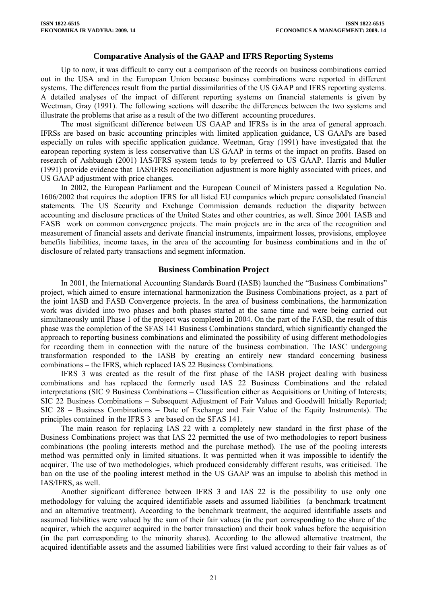# **Comparative Analysis of the GAAP and IFRS Reporting Systems**

Up to now, it was difficult to carry out a comparison of the records on business combinations carried out in the USA and in the European Union because business combinations were reported in different systems. The differences result from the partial dissimilarities of the US GAAP and IFRS reporting systems. A detailed analyses of the impact of different reporting systems on financial statements is given by Weetman, Gray (1991). The following sections will describe the differences between the two systems and illustrate the problems that arise as a result of the two different accounting procedures.

The most significant difference between US GAAP and IFRSs is in the area of general approach. IFRSs are based on basic accounting principles with limited application guidance, US GAAPs are based especially on rules with specific application guidance. Weetman, Gray (1991) have investigated that the earopean reporting system is less conservative than US GAAP in terms ot the impact on profits. Based on research of Ashbaugh (2001) IAS/IFRS system tends to by preferreed to US GAAP. Harris and Muller (1991) provide evidence that IAS/IFRS reconciliation adjustment is more highly associated with prices, and US GAAP adjustment with price changes.

In 2002, the European Parliament and the European Council of Ministers passed a Regulation No. 1606/2002 that requires the adoption IFRS for all listed EU companies which prepare consolidated financial statements. The US Security and Exchange Commission demands reduction the disparity between accounting and disclosure practices of the United States and other countries, as well. Since 2001 IASB and FASB work on common convergence projects. The main projects are in the area of the recognition and measurement of financial assets and derivate financial instruments, impairment losses, provisions, employee benefits liabilities, income taxes, in the area of the accounting for business combinations and in the of disclosure of related party transactions and segment information.

### **Business Combination Project**

In 2001, the International Accounting Standards Board (IASB) launched the "Business Combinations" project, which aimed to ensure international harmonization the Business Combinations project, as a part of the joint IASB and FASB Convergence projects. In the area of business combinations, the harmonization work was divided into two phases and both phases started at the same time and were being carried out simultaneously until Phase 1 of the project was completed in 2004. On the part of the FASB, the result of this phase was the completion of the SFAS 141 Business Combinations standard, which significantly changed the approach to reporting business combinations and eliminated the possibility of using different methodologies for recording them in connection with the nature of the business combination. The IASC undergoing transformation responded to the IASB by creating an entirely new standard concerning business combinations – the IFRS, which replaced IAS 22 Business Combinations.

IFRS 3 was created as the result of the first phase of the IASB project dealing with business combinations and has replaced the formerly used IAS 22 Business Combinations and the related interpretations (SIC 9 Business Combinations – Classification either as Acquisitions or Uniting of Interests; SIC 22 Business Combinations – Subsequent Adjustment of Fair Values and Goodwill Initially Reported; SIC 28 – Business Combinations – Date of Exchange and Fair Value of the Equity Instruments). The principles contained in the IFRS 3 are based on the SFAS 141.

The main reason for replacing IAS 22 with a completely new standard in the first phase of the Business Combinations project was that IAS 22 permitted the use of two methodologies to report business combinations (the pooling interests method and the purchase method). The use of the pooling interests method was permitted only in limited situations. It was permitted when it was impossible to identify the acquirer. The use of two methodologies, which produced considerably different results, was criticised. The ban on the use of the pooling interest method in the US GAAP was an impulse to abolish this method in IAS/IFRS, as well.

Another significant difference between IFRS 3 and IAS 22 is the possibility to use only one methodology for valuing the acquired identifiable assets and assumed liabilities (a benchmark treatment and an alternative treatment). According to the benchmark treatment, the acquired identifiable assets and assumed liabilities were valued by the sum of their fair values (in the part corresponding to the share of the acquirer, which the acquirer acquired in the barter transaction) and their book values before the acquisition (in the part corresponding to the minority shares). According to the allowed alternative treatment, the acquired identifiable assets and the assumed liabilities were first valued according to their fair values as of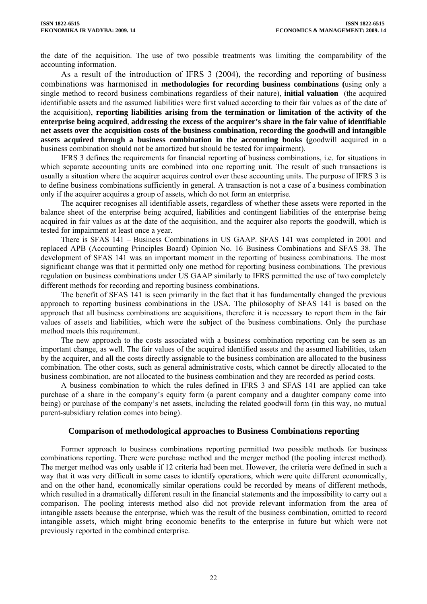the date of the acquisition. The use of two possible treatments was limiting the comparability of the accounting information.

As a result of the introduction of IFRS 3 (2004), the recording and reporting of business combinations was harmonised in **methodologies for recording business combinations (**using only a single method to record business combinations regardless of their nature), **initial valuation** (the acquired identifiable assets and the assumed liabilities were first valued according to their fair values as of the date of the acquisition), **reporting liabilities arising from the termination or limitation of the activity of the enterprise being acquired**, **addressing the excess of the acquirer's share in the fair value of identifiable net assets over the acquisition costs of the business combination, recording the goodwill and intangible assets acquired through a business combination in the accounting books (**goodwill acquired in a business combination should not be amortized but should be tested for impairment).

IFRS 3 defines the requirements for financial reporting of business combinations, i.e. for situations in which separate accounting units are combined into one reporting unit. The result of such transactions is usually a situation where the acquirer acquires control over these accounting units. The purpose of IFRS 3 is to define business combinations sufficiently in general. A transaction is not a case of a business combination only if the acquirer acquires a group of assets, which do not form an enterprise.

The acquirer recognises all identifiable assets, regardless of whether these assets were reported in the balance sheet of the enterprise being acquired, liabilities and contingent liabilities of the enterprise being acquired in fair values as at the date of the acquisition, and the acquirer also reports the goodwill, which is tested for impairment at least once a year.

There is SFAS 141 – Business Combinations in US GAAP. SFAS 141 was completed in 2001 and replaced APB (Accounting Principles Board) Opinion No. 16 Business Combinations and SFAS 38. The development of SFAS 141 was an important moment in the reporting of business combinations. The most significant change was that it permitted only one method for reporting business combinations. The previous regulation on business combinations under US GAAP similarly to IFRS permitted the use of two completely different methods for recording and reporting business combinations.

The benefit of SFAS 141 is seen primarily in the fact that it has fundamentally changed the previous approach to reporting business combinations in the USA. The philosophy of SFAS 141 is based on the approach that all business combinations are acquisitions, therefore it is necessary to report them in the fair values of assets and liabilities, which were the subject of the business combinations. Only the purchase method meets this requirement.

The new approach to the costs associated with a business combination reporting can be seen as an important change, as well. The fair values of the acquired identified assets and the assumed liabilities, taken by the acquirer, and all the costs directly assignable to the business combination are allocated to the business combination. The other costs, such as general administrative costs, which cannot be directly allocated to the business combination, are not allocated to the business combination and they are recorded as period costs.

A business combination to which the rules defined in IFRS 3 and SFAS 141 are applied can take purchase of a share in the company's equity form (a parent company and a daughter company come into being) or purchase of the company's net assets, including the related goodwill form (in this way, no mutual parent-subsidiary relation comes into being).

### **Comparison of methodological approaches to Business Combinations reporting**

Former approach to business combinations reporting permitted two possible methods for business combinations reporting. There were purchase method and the merger method (the pooling interest method). The merger method was only usable if 12 criteria had been met. However, the criteria were defined in such a way that it was very difficult in some cases to identify operations, which were quite different economically, and on the other hand, economically similar operations could be recorded by means of different methods, which resulted in a dramatically different result in the financial statements and the impossibility to carry out a comparison. The pooling interests method also did not provide relevant information from the area of intangible assets because the enterprise, which was the result of the business combination, omitted to record intangible assets, which might bring economic benefits to the enterprise in future but which were not previously reported in the combined enterprise.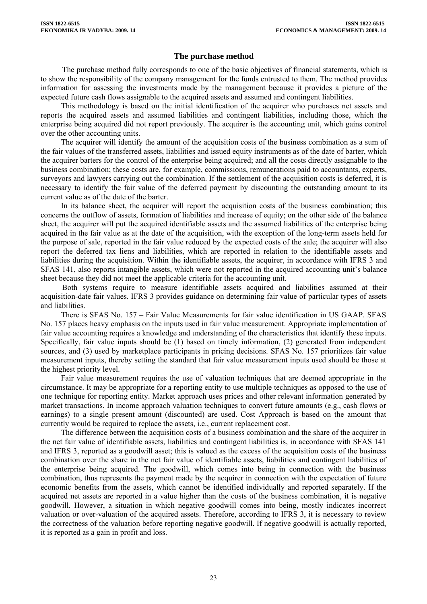# **The purchase method**

The purchase method fully corresponds to one of the basic objectives of financial statements, which is to show the responsibility of the company management for the funds entrusted to them. The method provides information for assessing the investments made by the management because it provides a picture of the expected future cash flows assignable to the acquired assets and assumed and contingent liabilities.

This methodology is based on the initial identification of the acquirer who purchases net assets and reports the acquired assets and assumed liabilities and contingent liabilities, including those, which the enterprise being acquired did not report previously. The acquirer is the accounting unit, which gains control over the other accounting units.

The acquirer will identify the amount of the acquisition costs of the business combination as a sum of the fair values of the transferred assets, liabilities and issued equity instruments as of the date of barter, which the acquirer barters for the control of the enterprise being acquired; and all the costs directly assignable to the business combination; these costs are, for example, commissions, remunerations paid to accountants, experts, surveyors and lawyers carrying out the combination. If the settlement of the acquisition costs is deferred, it is necessary to identify the fair value of the deferred payment by discounting the outstanding amount to its current value as of the date of the barter.

In its balance sheet, the acquirer will report the acquisition costs of the business combination; this concerns the outflow of assets, formation of liabilities and increase of equity; on the other side of the balance sheet, the acquirer will put the acquired identifiable assets and the assumed liabilities of the enterprise being acquired in the fair value as at the date of the acquisition, with the exception of the long-term assets held for the purpose of sale, reported in the fair value reduced by the expected costs of the sale; the acquirer will also report the deferred tax liens and liabilities, which are reported in relation to the identifiable assets and liabilities during the acquisition. Within the identifiable assets, the acquirer, in accordance with IFRS 3 and SFAS 141, also reports intangible assets, which were not reported in the acquired accounting unit's balance sheet because they did not meet the applicable criteria for the accounting unit.

Both systems require to measure identifiable assets acquired and liabilities assumed at their acquisition-date fair values. IFRS 3 provides guidance on determining fair value of particular types of assets and liabilities.

There is SFAS No. 157 – Fair Value Measurements for fair value identification in US GAAP. SFAS No. 157 places heavy emphasis on the inputs used in fair value measurement. Appropriate implementation of fair value accounting requires a knowledge and understanding of the characteristics that identify these inputs. Specifically, fair value inputs should be (1) based on timely information, (2) generated from independent sources, and (3) used by marketplace participants in pricing decisions. SFAS No. 157 prioritizes fair value measurement inputs, thereby setting the standard that fair value measurement inputs used should be those at the highest priority level.

Fair value measurement requires the use of valuation techniques that are deemed appropriate in the circumstance. It may be appropriate for a reporting entity to use multiple techniques as opposed to the use of one technique for reporting entity. Market approach uses prices and other relevant information generated by market transactions. In income approach valuation techniques to convert future amounts (e.g., cash flows or earnings) to a single present amount (discounted) are used. Cost Approach is based on the amount that currently would be required to replace the assets, i.e., current replacement cost.

The difference between the acquisition costs of a business combination and the share of the acquirer in the net fair value of identifiable assets, liabilities and contingent liabilities is, in accordance with SFAS 141 and IFRS 3, reported as a goodwill asset; this is valued as the excess of the acquisition costs of the business combination over the share in the net fair value of identifiable assets, liabilities and contingent liabilities of the enterprise being acquired. The goodwill, which comes into being in connection with the business combination, thus represents the payment made by the acquirer in connection with the expectation of future economic benefits from the assets, which cannot be identified individually and reported separately. If the acquired net assets are reported in a value higher than the costs of the business combination, it is negative goodwill. However, a situation in which negative goodwill comes into being, mostly indicates incorrect valuation or over-valuation of the acquired assets. Therefore, according to IFRS 3, it is necessary to review the correctness of the valuation before reporting negative goodwill. If negative goodwill is actually reported, it is reported as a gain in profit and loss.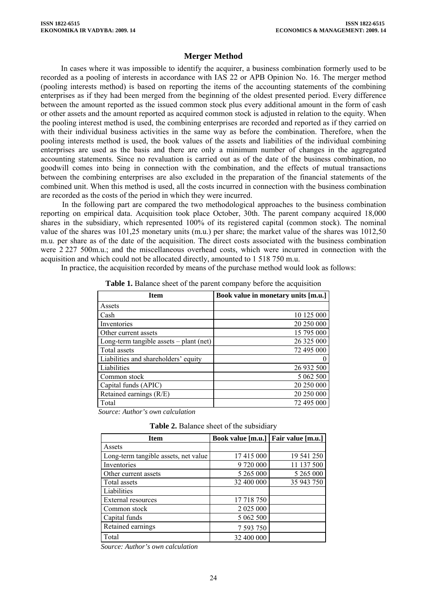# **Merger Method**

In cases where it was impossible to identify the acquirer, a business combination formerly used to be recorded as a pooling of interests in accordance with IAS 22 or APB Opinion No. 16. The merger method (pooling interests method) is based on reporting the items of the accounting statements of the combining enterprises as if they had been merged from the beginning of the oldest presented period. Every difference between the amount reported as the issued common stock plus every additional amount in the form of cash or other assets and the amount reported as acquired common stock is adjusted in relation to the equity. When the pooling interest method is used, the combining enterprises are recorded and reported as if they carried on with their individual business activities in the same way as before the combination. Therefore, when the pooling interests method is used, the book values of the assets and liabilities of the individual combining enterprises are used as the basis and there are only a minimum number of changes in the aggregated accounting statements. Since no revaluation is carried out as of the date of the business combination, no goodwill comes into being in connection with the combination, and the effects of mutual transactions between the combining enterprises are also excluded in the preparation of the financial statements of the combined unit. When this method is used, all the costs incurred in connection with the business combination are recorded as the costs of the period in which they were incurred.

In the following part are compared the two methodological approaches to the business combination reporting on empirical data. Acquisition took place October, 30th. The parent company acquired 18,000 shares in the subsidiary, which represented 100% of its registered capital (common stock). The nominal value of the shares was 101,25 monetary units (m.u.) per share; the market value of the shares was 1012,50 m.u. per share as of the date of the acquisition. The direct costs associated with the business combination were 2 227 500m.u.; and the miscellaneous overhead costs, which were incurred in connection with the acquisition and which could not be allocated directly, amounted to 1 518 750 m.u.

In practice, the acquisition recorded by means of the purchase method would look as follows:

| <b>Item</b>                               | Book value in monetary units [m.u.] |
|-------------------------------------------|-------------------------------------|
| Assets                                    |                                     |
| Cash                                      | 10 125 000                          |
| Inventories                               | 20 250 000                          |
| Other current assets                      | 15 795 000                          |
| Long-term tangible assets $-$ plant (net) | 26 325 000                          |
| Total assets                              | 72 495 000                          |
| Liabilities and shareholders' equity      |                                     |
| Liabilities                               | 26 932 500                          |
| Common stock                              | 5 062 500                           |
| Capital funds (APIC)                      | 20 250 000                          |
| Retained earnings (R/E)                   | 20 250 000                          |
| Total                                     | 72 495 000                          |

**Table 1.** Balance sheet of the parent company before the acquisition

*Source: Author's own calculation*

|  |  |  |  | Table 2. Balance sheet of the subsidiary |
|--|--|--|--|------------------------------------------|
|--|--|--|--|------------------------------------------|

| <b>Item</b>                          | Book value [m.u.]   Fair value [m.u.] |            |
|--------------------------------------|---------------------------------------|------------|
| Assets                               |                                       |            |
| Long-term tangible assets, net value | 17 415 000                            | 19 541 250 |
| Inventories                          | 9 720 000                             | 11 137 500 |
| Other current assets                 | 5 265 000                             | 5 265 000  |
| Total assets                         | 32 400 000                            | 35 943 750 |
| Liabilities                          |                                       |            |
| External resources                   | 17 718 750                            |            |
| Common stock                         | 2 0 2 5 0 0 0                         |            |
| Capital funds                        | 5 062 500                             |            |
| Retained earnings                    | 7 593 750                             |            |
| Total                                | 32 400 000                            |            |

*Source: Author's own calculation*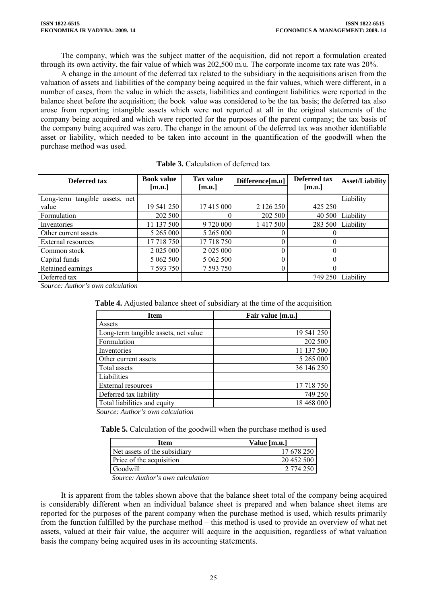The company, which was the subject matter of the acquisition, did not report a formulation created through its own activity, the fair value of which was 202,500 m.u. The corporate income tax rate was 20%.

A change in the amount of the deferred tax related to the subsidiary in the acquisitions arisen from the valuation of assets and liabilities of the company being acquired in the fair values, which were different, in a number of cases, from the value in which the assets, liabilities and contingent liabilities were reported in the balance sheet before the acquisition; the book value was considered to be the tax basis; the deferred tax also arose from reporting intangible assets which were not reported at all in the original statements of the company being acquired and which were reported for the purposes of the parent company; the tax basis of the company being acquired was zero. The change in the amount of the deferred tax was another identifiable asset or liability, which needed to be taken into account in the quantification of the goodwill when the purchase method was used.

| Deferred tax                   | <b>Book value</b><br>[m.u.] | <b>Tax value</b><br>[m.u.] | Difference[m.u] | Deferred tax<br>[m.u.] | <b>Asset/Liability</b> |
|--------------------------------|-----------------------------|----------------------------|-----------------|------------------------|------------------------|
| Long-term tangible assets, net |                             |                            |                 |                        | Liability              |
| value                          | 19 541 250                  | 17 415 000                 | 2 126 250       | 425 250                |                        |
| Formulation                    | 202 500                     |                            | 202 500         | 40 500                 | Liability              |
| Inventories                    | 11 137 500                  | 9 720 000                  | 1 417 500       | 283 500                | Liability              |
| Other current assets           | 5 265 000                   | 5 265 000                  |                 |                        |                        |
| External resources             | 17 718 750                  | 17 718 750                 |                 |                        |                        |
| Common stock                   | 2 0 2 5 0 0 0               | 2 025 000                  |                 |                        |                        |
| Capital funds                  | 5 062 500                   | 5 062 500                  |                 |                        |                        |
| Retained earnings              | 7 593 750                   | 7 593 750                  | 0               |                        |                        |
| Deferred tax                   |                             |                            |                 | 749 250                | Liability              |

| <b>Table 3.</b> Calculation of deferred tax |  |
|---------------------------------------------|--|
|---------------------------------------------|--|

*Source: Author's own calculation* 

|  | <b>Table 4.</b> Adjusted balance sheet of subsidiary at the time of the acquisition |  |
|--|-------------------------------------------------------------------------------------|--|
|--|-------------------------------------------------------------------------------------|--|

| <b>Item</b>                          | Fair value [m.u.] |
|--------------------------------------|-------------------|
| Assets                               |                   |
| Long-term tangible assets, net value | 19 541 250        |
| Formulation                          | 202 500           |
| Inventories                          | 11 137 500        |
| Other current assets                 | 5 265 000         |
| Total assets                         | 36 146 250        |
| Liabilities                          |                   |
| External resources                   | 17 718 750        |
| Deferred tax liability               | 749 250           |
| Total liabilities and equity         | 18 468 000        |

*Source: Author's own calculation*

**Table 5.** Calculation of the goodwill when the purchase method is used

| Item                         | Value [m.u.] |
|------------------------------|--------------|
| Net assets of the subsidiary | 17 678 250   |
| Price of the acquisition     | 20 452 500   |
| Goodwill                     | 2 774 250    |
|                              |              |

*Source: Author's own calculation*

It is apparent from the tables shown above that the balance sheet total of the company being acquired is considerably different when an individual balance sheet is prepared and when balance sheet items are reported for the purposes of the parent company when the purchase method is used, which results primarily from the function fulfilled by the purchase method – this method is used to provide an overview of what net assets, valued at their fair value, the acquirer will acquire in the acquisition, regardless of what valuation basis the company being acquired uses in its accounting statements.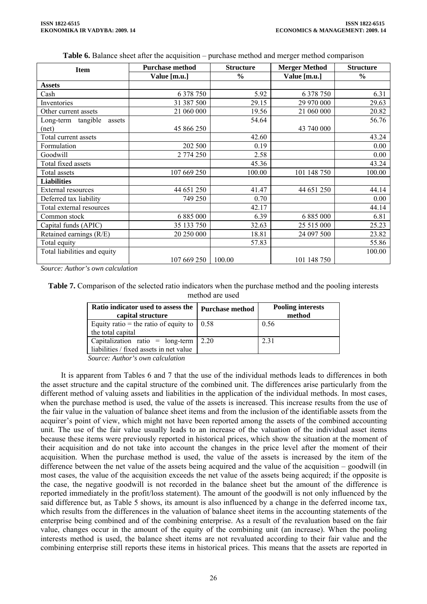**Table 6.** Balance sheet after the acquisition – purchase method and merger method comparison

| <b>Item</b>                  | <b>Purchase method</b> | <b>Structure</b> | <b>Merger Method</b> | <b>Structure</b> |
|------------------------------|------------------------|------------------|----------------------|------------------|
|                              | Value [m.u.]           | $\frac{0}{0}$    | Value [m.u.]         | $\frac{6}{6}$    |
| <b>Assets</b>                |                        |                  |                      |                  |
| Cash                         | 6 378 750              | 5.92             | 6 3 7 8 7 5 0        | 6.31             |
| Inventories                  | 31 387 500             | 29.15            | 29 970 000           | 29.63            |
| Other current assets         | 21 060 000             | 19.56            | 21 060 000           | 20.82            |
| Long-term tangible<br>assets |                        | 54.64            |                      | 56.76            |
| (net)                        | 45 866 250             |                  | 43 740 000           |                  |
| Total current assets         |                        | 42.60            |                      | 43.24            |
| Formulation                  | 202 500                | 0.19             |                      | 0.00             |
| Goodwill                     | 2 774 250              | 2.58             |                      | 0.00             |
| Total fixed assets           |                        | 45.36            |                      | 43.24            |
| Total assets                 | 107 669 250            | 100.00           | 101 148 750          | 100.00           |
| <b>Liabilities</b>           |                        |                  |                      |                  |
| External resources           | 44 651 250             | 41.47            | 44 651 250           | 44.14            |
| Deferred tax liability       | 749 250                | 0.70             |                      | 0.00             |
| Total external resources     |                        | 42.17            |                      | 44.14            |
| Common stock                 | 6 8 8 5 0 0 0          | 6.39             | 6 8 8 5 0 0 0        | 6.81             |
| Capital funds (APIC)         | 35 133 750             | 32.63            | 25 515 000           | 25.23            |
| Retained earnings (R/E)      | 20 250 000             | 18.81            | 24 097 500           | 23.82            |
| Total equity                 |                        | 57.83            |                      | 55.86            |
| Total liabilities and equity |                        |                  |                      | 100.00           |
|                              | 107 669 250            | 100.00           | 101 148 750          |                  |

*Source: Author's own calculation*

**Table 7.** Comparison of the selected ratio indicators when the purchase method and the pooling interests method are used

| Ratio indicator used to assess the<br>capital structure  | Purchase method | <b>Pooling interests</b><br>method |
|----------------------------------------------------------|-----------------|------------------------------------|
| Equity ratio = the ratio of equity to $\vert 0.58 \vert$ |                 | 0.56                               |
| the total capital                                        |                 |                                    |
| Capitalization ratio = $\log$ -term   2.20               |                 | 2.31                               |
| liabilities / fixed assets in net value                  |                 |                                    |
| $\alpha$ and $\alpha$ in the set of $\alpha$             |                 |                                    |

*Source: Author's own calculation* 

It is apparent from Tables 6 and 7 that the use of the individual methods leads to differences in both the asset structure and the capital structure of the combined unit. The differences arise particularly from the different method of valuing assets and liabilities in the application of the individual methods. In most cases, when the purchase method is used, the value of the assets is increased. This increase results from the use of the fair value in the valuation of balance sheet items and from the inclusion of the identifiable assets from the acquirer's point of view, which might not have been reported among the assets of the combined accounting unit. The use of the fair value usually leads to an increase of the valuation of the individual asset items because these items were previously reported in historical prices, which show the situation at the moment of their acquisition and do not take into account the changes in the price level after the moment of their acquisition. When the purchase method is used, the value of the assets is increased by the item of the difference between the net value of the assets being acquired and the value of the acquisition – goodwill (in most cases, the value of the acquisition exceeds the net value of the assets being acquired; if the opposite is the case, the negative goodwill is not recorded in the balance sheet but the amount of the difference is reported immediately in the profit/loss statement). The amount of the goodwill is not only influenced by the said difference but, as Table 5 shows, its amount is also influenced by a change in the deferred income tax, which results from the differences in the valuation of balance sheet items in the accounting statements of the enterprise being combined and of the combining enterprise. As a result of the revaluation based on the fair value, changes occur in the amount of the equity of the combining unit (an increase). When the pooling interests method is used, the balance sheet items are not revaluated according to their fair value and the combining enterprise still reports these items in historical prices. This means that the assets are reported in